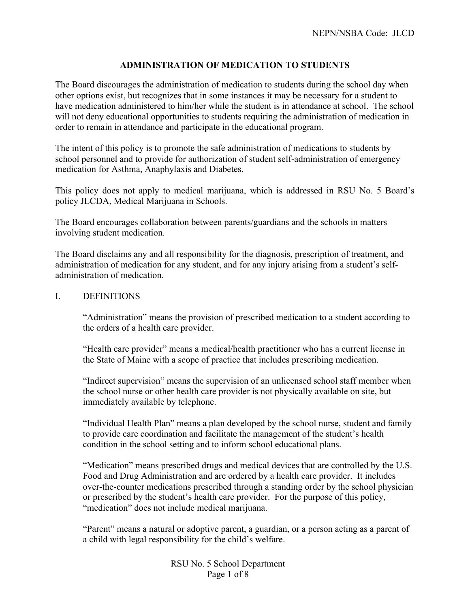## **ADMINISTRATION OF MEDICATION TO STUDENTS**

The Board discourages the administration of medication to students during the school day when other options exist, but recognizes that in some instances it may be necessary for a student to have medication administered to him/her while the student is in attendance at school. The school will not deny educational opportunities to students requiring the administration of medication in order to remain in attendance and participate in the educational program.

The intent of this policy is to promote the safe administration of medications to students by school personnel and to provide for authorization of student self-administration of emergency medication for Asthma, Anaphylaxis and Diabetes.

This policy does not apply to medical marijuana, which is addressed in RSU No. 5 Board's policy JLCDA, Medical Marijuana in Schools.

The Board encourages collaboration between parents/guardians and the schools in matters involving student medication.

The Board disclaims any and all responsibility for the diagnosis, prescription of treatment, and administration of medication for any student, and for any injury arising from a student's selfadministration of medication.

I. DEFINITIONS

"Administration" means the provision of prescribed medication to a student according to the orders of a health care provider.

"Health care provider" means a medical/health practitioner who has a current license in the State of Maine with a scope of practice that includes prescribing medication.

"Indirect supervision" means the supervision of an unlicensed school staff member when the school nurse or other health care provider is not physically available on site, but immediately available by telephone.

"Individual Health Plan" means a plan developed by the school nurse, student and family to provide care coordination and facilitate the management of the student's health condition in the school setting and to inform school educational plans.

"Medication" means prescribed drugs and medical devices that are controlled by the U.S. Food and Drug Administration and are ordered by a health care provider. It includes over-the-counter medications prescribed through a standing order by the school physician or prescribed by the student's health care provider. For the purpose of this policy, "medication" does not include medical marijuana.

"Parent" means a natural or adoptive parent, a guardian, or a person acting as a parent of a child with legal responsibility for the child's welfare.

> RSU No. 5 School Department Page 1 of 8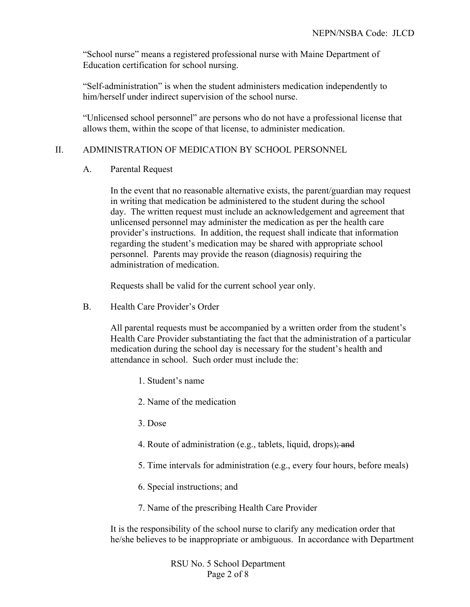"School nurse" means a registered professional nurse with Maine Department of Education certification for school nursing.

"Self-administration" is when the student administers medication independently to him/herself under indirect supervision of the school nurse.

"Unlicensed school personnel" are persons who do not have a professional license that allows them, within the scope of that license, to administer medication.

## II. ADMINISTRATION OF MEDICATION BY SCHOOL PERSONNEL

## A. Parental Request

In the event that no reasonable alternative exists, the parent/guardian may request in writing that medication be administered to the student during the school day. The written request must include an acknowledgement and agreement that unlicensed personnel may administer the medication as per the health care provider's instructions. In addition, the request shall indicate that information regarding the student's medication may be shared with appropriate school personnel. Parents may provide the reason (diagnosis) requiring the administration of medication.

Requests shall be valid for the current school year only.

B. Health Care Provider's Order

All parental requests must be accompanied by a written order from the student's Health Care Provider substantiating the fact that the administration of a particular medication during the school day is necessary for the student's health and attendance in school. Such order must include the:

- 1. Student's name
- 2. Name of the medication
- 3. Dose
- 4. Route of administration (e.g., tablets, liquid, drops); and
- 5. Time intervals for administration (e.g., every four hours, before meals)
- 6. Special instructions; and
- 7. Name of the prescribing Health Care Provider

It is the responsibility of the school nurse to clarify any medication order that he/she believes to be inappropriate or ambiguous. In accordance with Department

> RSU No. 5 School Department Page 2 of 8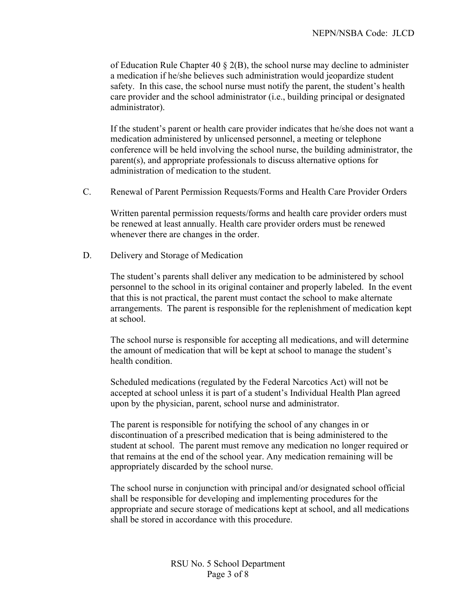of Education Rule Chapter 40  $\S$  2(B), the school nurse may decline to administer a medication if he/she believes such administration would jeopardize student safety. In this case, the school nurse must notify the parent, the student's health care provider and the school administrator (i.e., building principal or designated administrator).

If the student's parent or health care provider indicates that he/she does not want a medication administered by unlicensed personnel, a meeting or telephone conference will be held involving the school nurse, the building administrator, the parent(s), and appropriate professionals to discuss alternative options for administration of medication to the student.

C. Renewal of Parent Permission Requests/Forms and Health Care Provider Orders

Written parental permission requests/forms and health care provider orders must be renewed at least annually. Health care provider orders must be renewed whenever there are changes in the order.

D. Delivery and Storage of Medication

The student's parents shall deliver any medication to be administered by school personnel to the school in its original container and properly labeled. In the event that this is not practical, the parent must contact the school to make alternate arrangements. The parent is responsible for the replenishment of medication kept at school.

The school nurse is responsible for accepting all medications, and will determine the amount of medication that will be kept at school to manage the student's health condition.

Scheduled medications (regulated by the Federal Narcotics Act) will not be accepted at school unless it is part of a student's Individual Health Plan agreed upon by the physician, parent, school nurse and administrator.

The parent is responsible for notifying the school of any changes in or discontinuation of a prescribed medication that is being administered to the student at school. The parent must remove any medication no longer required or that remains at the end of the school year. Any medication remaining will be appropriately discarded by the school nurse.

The school nurse in conjunction with principal and/or designated school official shall be responsible for developing and implementing procedures for the appropriate and secure storage of medications kept at school, and all medications shall be stored in accordance with this procedure.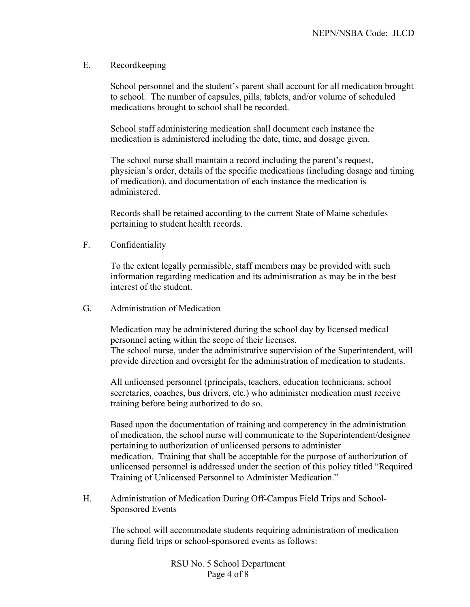## E. Recordkeeping

School personnel and the student's parent shall account for all medication brought to school. The number of capsules, pills, tablets, and/or volume of scheduled medications brought to school shall be recorded.

School staff administering medication shall document each instance the medication is administered including the date, time, and dosage given.

The school nurse shall maintain a record including the parent's request, physician's order, details of the specific medications (including dosage and timing of medication), and documentation of each instance the medication is administered.

Records shall be retained according to the current State of Maine schedules pertaining to student health records.

F. Confidentiality

To the extent legally permissible, staff members may be provided with such information regarding medication and its administration as may be in the best interest of the student.

G. Administration of Medication

Medication may be administered during the school day by licensed medical personnel acting within the scope of their licenses. The school nurse, under the administrative supervision of the Superintendent, will

provide direction and oversight for the administration of medication to students.

All unlicensed personnel (principals, teachers, education technicians, school secretaries, coaches, bus drivers, etc.) who administer medication must receive training before being authorized to do so.

Based upon the documentation of training and competency in the administration of medication, the school nurse will communicate to the Superintendent/designee pertaining to authorization of unlicensed persons to administer medication. Training that shall be acceptable for the purpose of authorization of unlicensed personnel is addressed under the section of this policy titled "Required Training of Unlicensed Personnel to Administer Medication."

H. Administration of Medication During Off-Campus Field Trips and School-Sponsored Events

The school will accommodate students requiring administration of medication during field trips or school-sponsored events as follows:

> RSU No. 5 School Department Page 4 of 8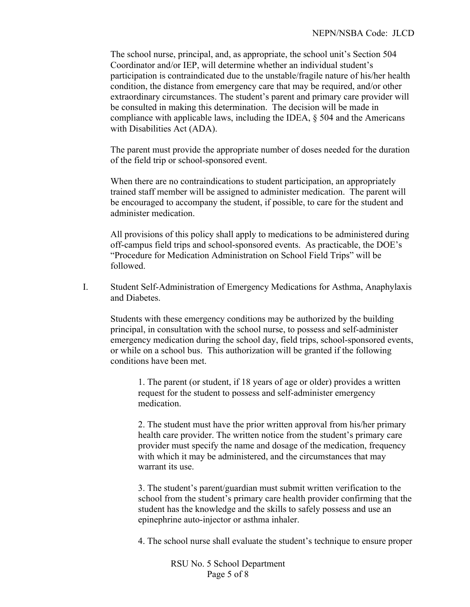The school nurse, principal, and, as appropriate, the school unit's Section 504 Coordinator and/or IEP, will determine whether an individual student's participation is contraindicated due to the unstable/fragile nature of his/her health condition, the distance from emergency care that may be required, and/or other extraordinary circumstances. The student's parent and primary care provider will be consulted in making this determination. The decision will be made in compliance with applicable laws, including the IDEA, § 504 and the Americans with Disabilities Act (ADA).

The parent must provide the appropriate number of doses needed for the duration of the field trip or school-sponsored event.

When there are no contraindications to student participation, an appropriately trained staff member will be assigned to administer medication. The parent will be encouraged to accompany the student, if possible, to care for the student and administer medication.

All provisions of this policy shall apply to medications to be administered during off-campus field trips and school-sponsored events. As practicable, the DOE's "Procedure for Medication Administration on School Field Trips" will be followed.

I. Student Self-Administration of Emergency Medications for Asthma, Anaphylaxis and Diabetes.

Students with these emergency conditions may be authorized by the building principal, in consultation with the school nurse, to possess and self-administer emergency medication during the school day, field trips, school-sponsored events, or while on a school bus. This authorization will be granted if the following conditions have been met.

1. The parent (or student, if 18 years of age or older) provides a written request for the student to possess and self-administer emergency medication.

2. The student must have the prior written approval from his/her primary health care provider. The written notice from the student's primary care provider must specify the name and dosage of the medication, frequency with which it may be administered, and the circumstances that may warrant its use.

3. The student's parent/guardian must submit written verification to the school from the student's primary care health provider confirming that the student has the knowledge and the skills to safely possess and use an epinephrine auto-injector or asthma inhaler.

4. The school nurse shall evaluate the student's technique to ensure proper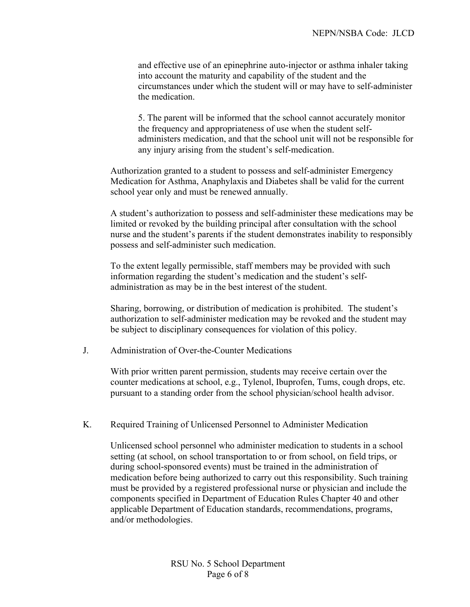and effective use of an epinephrine auto-injector or asthma inhaler taking into account the maturity and capability of the student and the circumstances under which the student will or may have to self-administer the medication.

5. The parent will be informed that the school cannot accurately monitor the frequency and appropriateness of use when the student selfadministers medication, and that the school unit will not be responsible for any injury arising from the student's self-medication.

Authorization granted to a student to possess and self-administer Emergency Medication for Asthma, Anaphylaxis and Diabetes shall be valid for the current school year only and must be renewed annually.

A student's authorization to possess and self-administer these medications may be limited or revoked by the building principal after consultation with the school nurse and the student's parents if the student demonstrates inability to responsibly possess and self-administer such medication.

To the extent legally permissible, staff members may be provided with such information regarding the student's medication and the student's selfadministration as may be in the best interest of the student.

Sharing, borrowing, or distribution of medication is prohibited. The student's authorization to self-administer medication may be revoked and the student may be subject to disciplinary consequences for violation of this policy.

J. Administration of Over-the-Counter Medications

With prior written parent permission, students may receive certain over the counter medications at school, e.g., Tylenol, Ibuprofen, Tums, cough drops, etc. pursuant to a standing order from the school physician/school health advisor.

K. Required Training of Unlicensed Personnel to Administer Medication

Unlicensed school personnel who administer medication to students in a school setting (at school, on school transportation to or from school, on field trips, or during school-sponsored events) must be trained in the administration of medication before being authorized to carry out this responsibility. Such training must be provided by a registered professional nurse or physician and include the components specified in Department of Education Rules Chapter 40 and other applicable Department of Education standards, recommendations, programs, and/or methodologies.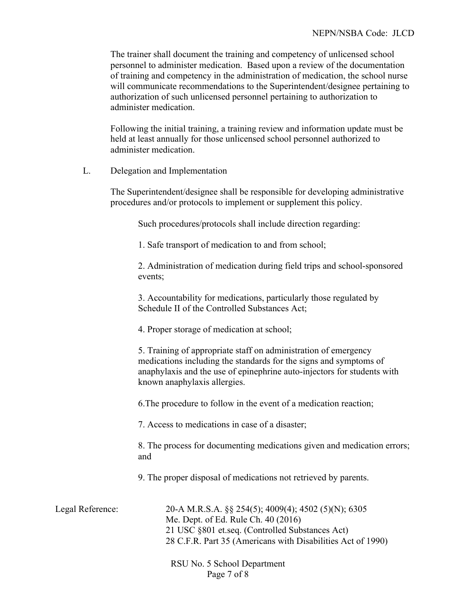The trainer shall document the training and competency of unlicensed school personnel to administer medication. Based upon a review of the documentation of training and competency in the administration of medication, the school nurse will communicate recommendations to the Superintendent/designee pertaining to authorization of such unlicensed personnel pertaining to authorization to administer medication.

Following the initial training, a training review and information update must be held at least annually for those unlicensed school personnel authorized to administer medication.

L. Delegation and Implementation

The Superintendent/designee shall be responsible for developing administrative procedures and/or protocols to implement or supplement this policy.

Such procedures/protocols shall include direction regarding:

1. Safe transport of medication to and from school;

2. Administration of medication during field trips and school-sponsored events;

3. Accountability for medications, particularly those regulated by Schedule II of the Controlled Substances Act;

4. Proper storage of medication at school;

5. Training of appropriate staff on administration of emergency medications including the standards for the signs and symptoms of anaphylaxis and the use of epinephrine auto-injectors for students with known anaphylaxis allergies.

6.The procedure to follow in the event of a medication reaction;

7. Access to medications in case of a disaster;

8. The process for documenting medications given and medication errors; and

9. The proper disposal of medications not retrieved by parents.

| Legal Reference: | 20-A M.R.S.A. $\S$ 254(5); 4009(4); 4502 (5)(N); 6305       |
|------------------|-------------------------------------------------------------|
|                  | Me. Dept. of Ed. Rule Ch. 40 (2016)                         |
|                  | 21 USC §801 et.seq. (Controlled Substances Act)             |
|                  | 28 C.F.R. Part 35 (Americans with Disabilities Act of 1990) |
|                  |                                                             |

RSU No. 5 School Department Page 7 of 8